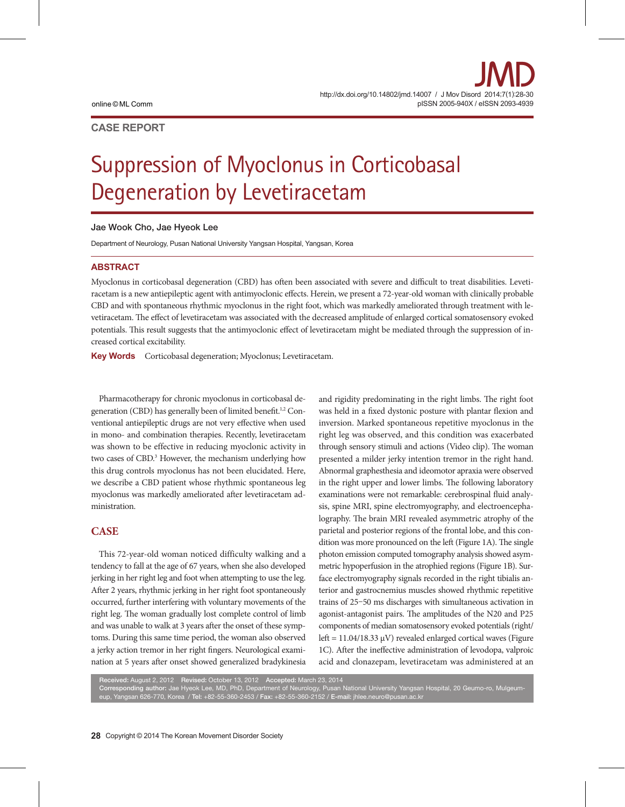# **CASE REPORT**

# Suppression of Myoclonus in Corticobasal Degeneration by Levetiracetam

#### Jae Wook Cho, Jae Hyeok Lee

Department of Neurology, Pusan National University Yangsan Hospital, Yangsan, Korea

### **ABSTRACT**

Myoclonus in corticobasal degeneration (CBD) has often been associated with severe and difficult to treat disabilities. Levetiracetam is a new antiepileptic agent with antimyoclonic effects. Herein, we present a 72-year-old woman with clinically probable CBD and with spontaneous rhythmic myoclonus in the right foot, which was markedly ameliorated through treatment with levetiracetam. The effect of levetiracetam was associated with the decreased amplitude of enlarged cortical somatosensory evoked potentials. This result suggests that the antimyoclonic effect of levetiracetam might be mediated through the suppression of increased cortical excitability.

Key Words Corticobasal degeneration; Myoclonus; Levetiracetam.

Pharmacotherapy for chronic myoclonus in corticobasal degeneration (CBD) has generally been of limited benefit.<sup>1,2</sup> Conventional antiepileptic drugs are not very effective when used in mono- and combination therapies. Recently, levetiracetam was shown to be effective in reducing myoclonic activity in two cases of CBD.<sup>3</sup> However, the mechanism underlying how this drug controls myoclonus has not been elucidated. Here, we describe a CBD patient whose rhythmic spontaneous leg myoclonus was markedly ameliorated after levetiracetam administration.

# **CASE**

This 72-year-old woman noticed difficulty walking and a tendency to fall at the age of 67 years, when she also developed jerking in her right leg and foot when attempting to use the leg. After 2 years, rhythmic jerking in her right foot spontaneously occurred, further interfering with voluntary movements of the right leg. The woman gradually lost complete control of limb and was unable to walk at 3 years after the onset of these symptoms. During this same time period, the woman also observed a jerky action tremor in her right fingers. Neurological examination at 5 years after onset showed generalized bradykinesia

and rigidity predominating in the right limbs. The right foot was held in a fixed dystonic posture with plantar flexion and inversion. Marked spontaneous repetitive myoclonus in the right leg was observed, and this condition was exacerbated through sensory stimuli and actions (Video clip). The woman presented a milder jerky intention tremor in the right hand. Abnormal graphesthesia and ideomotor apraxia were observed in the right upper and lower limbs. The following laboratory examinations were not remarkable: cerebrospinal fluid analysis, spine MRI, spine electromyography, and electroencephalography. The brain MRI revealed asymmetric atrophy of the parietal and posterior regions of the frontal lobe, and this condition was more pronounced on the left (Figure 1A). The single photon emission computed tomography analysis showed asymmetric hypoperfusion in the atrophied regions (Figure 1B). Surface electromyography signals recorded in the right tibialis anterior and gastrocnemius muscles showed rhythmic repetitive trains of 25–50 ms discharges with simultaneous activation in agonist-antagonist pairs. The amplitudes of the N20 and P25 components of median somatosensory evoked potentials (right/ left =  $11.04/18.33 \mu V$ ) revealed enlarged cortical waves (Figure 1C). After the ineffective administration of levodopa, valproic acid and clonazepam, levetiracetam was administered at an

Received: August 2, 2012 Revised: October 13, 2012 Accepted: March 23, 2014 Corresponding author: Jae Hyeok Lee, MD, PhD, Department of Neurology, Pusan National University Yangsan Hospital, 20 Geumo-ro, Mulgeumeup, Yangsan 626-770, Korea / Tel: +82-55-360-2453 / Fax: +82-55-360-2152 / E-mail: jhlee.neuro@pusan.ac.kr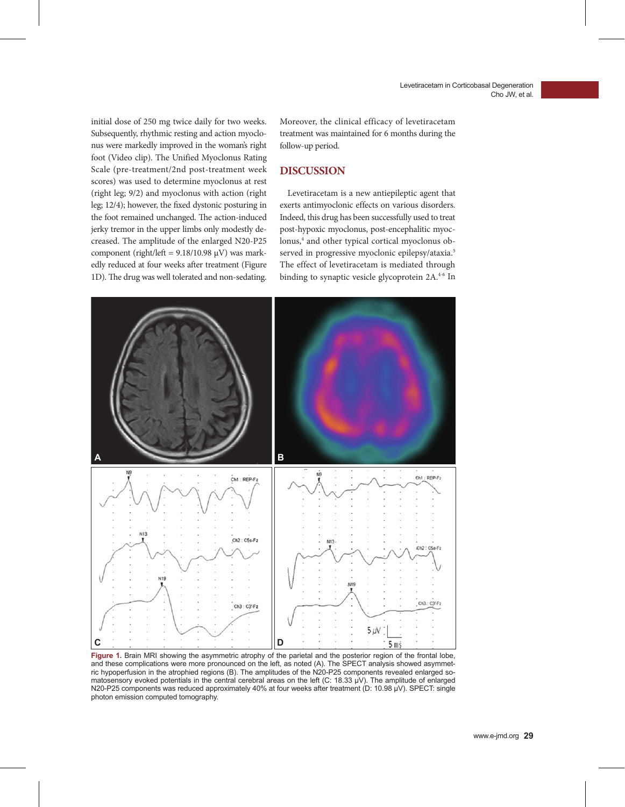initial dose of 250 mg twice daily for two weeks. Subsequently, rhythmic resting and action myoclonus were markedly improved in the woman's right foot (Video clip). The Unified Myoclonus Rating Scale (pre-treatment/2nd post-treatment week scores) was used to determine myoclonus at rest (right leg; 9/2) and myoclonus with action (right leg; 12/4); however, the fixed dystonic posturing in the foot remained unchanged. The action-induced jerky tremor in the upper limbs only modestly decreased. The amplitude of the enlarged N20-P25 component (right/left =  $9.18/10.98 \mu V$ ) was markedly reduced at four weeks after treatment (Figure 1D). The drug was well tolerated and non-sedating.

Moreover, the clinical efficacy of levetiracetam treatment was maintained for 6 months during the follow-up period.

## **DISCUSSION**

Levetiracetam is a new antiepileptic agent that exerts antimyoclonic effects on various disorders. Indeed, this drug has been successfully used to treat post-hypoxic myoclonus, post-encephalitic myoclonus,<sup>4</sup> and other typical cortical myoclonus observed in progressive myoclonic epilepsy/ataxia.<sup>5</sup> The effect of levetiracetam is mediated through binding to synaptic vesicle glycoprotein 2A.<sup>4-6</sup> In



**Figure 1.** Brain MRI showing the asymmetric atrophy of the parietal and the posterior region of the frontal lobe, and these complications were more pronounced on the left, as noted (A). The SPECT analysis showed asymmetric hypoperfusion in the atrophied regions (B). The amplitudes of the N20-P25 components revealed enlarged somatosensory evoked potentials in the central cerebral areas on the left (C: 18.33 μV). The amplitude of enlarged N20-P25 components was reduced approximately 40% at four weeks after treatment (D: 10.98 μV). SPECT: single photon emission computed tomography.